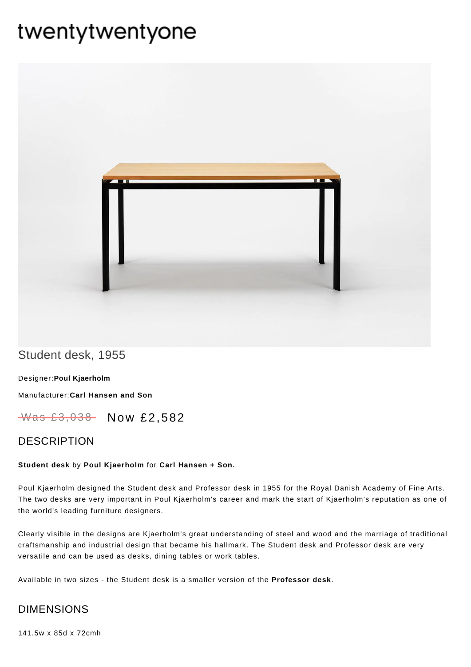# twentytwentyone



# Student desk, 1955

Designer:**Poul [Kjaerholm](https://www.twentytwentyone.com/collections/designers-poul-kjaerholm)**

[Manufacturer:](https://www.twentytwentyone.com/collections/manufacturers-carl-hansen-and-son)**Carl Hansen and Son**

Was £3,038 Now £2,582

### DESCRIPTION

#### **Student desk** by **Poul [Kjaerholm](http://twentytwentyone.com/designer/poul-kjaerholm)** for **Carl [Hansen](http://twentytwentyone.com/manufacturer/carl-hansen-son) + Son.**

Poul Kjaerholm designed the Student desk and Professor desk in 1955 for the Royal Danish Academy of Fine Arts. The two desks are very important in Poul Kjaerholm's career and mark the start of Kjaerholm's reputation as one of the world's leading furniture designers.

Clearly visible in the designs are Kjaerholm's great understanding of steel and wood and the marriage of traditional craftsmanship and industrial design that became his hallmark. The Student desk and Professor desk are very versatile and can be used as desks, dining tables or work tables.

Available in two sizes - the Student desk is a smaller version of the **[Professor](http://twentytwentyone.com/product/poul-kjaerholm-carl-hansen-professor-desk) desk**.

## DIMENSIONS

141.5w x 85d x 72cmh